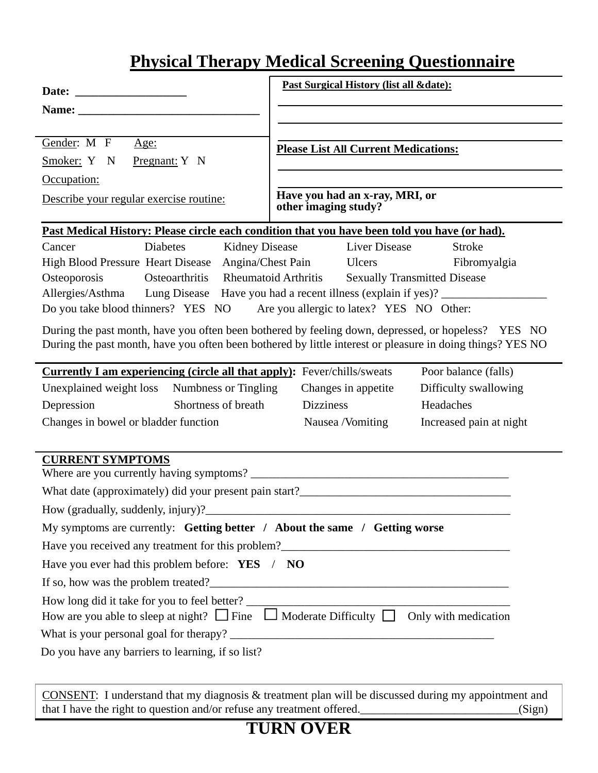## **Physical Therapy Medical Screening Questionnaire**

|                                                                                                                                                                                                                                | Past Surgical History (list all &date):                                                                                                                                                                           |  |  |  |  |  |  |  |  |
|--------------------------------------------------------------------------------------------------------------------------------------------------------------------------------------------------------------------------------|-------------------------------------------------------------------------------------------------------------------------------------------------------------------------------------------------------------------|--|--|--|--|--|--|--|--|
| Name: Name and the set of the set of the set of the set of the set of the set of the set of the set of the set of the set of the set of the set of the set of the set of the set of the set of the set of the set of the set o |                                                                                                                                                                                                                   |  |  |  |  |  |  |  |  |
|                                                                                                                                                                                                                                |                                                                                                                                                                                                                   |  |  |  |  |  |  |  |  |
| Gender: M F<br>Age:                                                                                                                                                                                                            | <b>Please List All Current Medications:</b>                                                                                                                                                                       |  |  |  |  |  |  |  |  |
| Pregnant: Y N<br>Smoker: Y N                                                                                                                                                                                                   |                                                                                                                                                                                                                   |  |  |  |  |  |  |  |  |
| Occupation:                                                                                                                                                                                                                    |                                                                                                                                                                                                                   |  |  |  |  |  |  |  |  |
| Describe your regular exercise routine:                                                                                                                                                                                        | Have you had an x-ray, MRI, or<br>other imaging study?                                                                                                                                                            |  |  |  |  |  |  |  |  |
|                                                                                                                                                                                                                                | Past Medical History: Please circle each condition that you have been told you have (or had).                                                                                                                     |  |  |  |  |  |  |  |  |
| <b>Diabetes</b><br>Cancer                                                                                                                                                                                                      | Liver Disease<br>Kidney Disease<br><b>Stroke</b>                                                                                                                                                                  |  |  |  |  |  |  |  |  |
| High Blood Pressure Heart Disease Angina/Chest Pain Ulcers                                                                                                                                                                     | Fibromyalgia                                                                                                                                                                                                      |  |  |  |  |  |  |  |  |
| Osteoporosis<br>Osteoarthritis Rheumatoid Arthritis<br><b>Sexually Transmitted Disease</b>                                                                                                                                     |                                                                                                                                                                                                                   |  |  |  |  |  |  |  |  |
| Allergies/Asthma Lung Disease Have you had a recent illness (explain if yes)? ______________________<br>Do you take blood thinners? YES NO<br>Are you allergic to latex? YES NO Other:                                         |                                                                                                                                                                                                                   |  |  |  |  |  |  |  |  |
|                                                                                                                                                                                                                                | During the past month, have you often been bothered by feeling down, depressed, or hopeless? YES NO<br>During the past month, have you often been bothered by little interest or pleasure in doing things? YES NO |  |  |  |  |  |  |  |  |
| <b>Currently I am experiencing (circle all that apply):</b> Fever/chills/sweats                                                                                                                                                | Poor balance (falls)                                                                                                                                                                                              |  |  |  |  |  |  |  |  |
| Unexplained weight loss Numbness or Tingling                                                                                                                                                                                   | Changes in appetite<br>Difficulty swallowing                                                                                                                                                                      |  |  |  |  |  |  |  |  |
| Shortness of breath<br>Depression                                                                                                                                                                                              | Headaches<br><b>Dizziness</b>                                                                                                                                                                                     |  |  |  |  |  |  |  |  |
| Changes in bowel or bladder function                                                                                                                                                                                           | Nausea /Vomiting<br>Increased pain at night                                                                                                                                                                       |  |  |  |  |  |  |  |  |
|                                                                                                                                                                                                                                |                                                                                                                                                                                                                   |  |  |  |  |  |  |  |  |
| <b>CURRENT SYMPTOMS</b>                                                                                                                                                                                                        |                                                                                                                                                                                                                   |  |  |  |  |  |  |  |  |
|                                                                                                                                                                                                                                |                                                                                                                                                                                                                   |  |  |  |  |  |  |  |  |
| How (gradually, suddenly, injury)?_                                                                                                                                                                                            |                                                                                                                                                                                                                   |  |  |  |  |  |  |  |  |
| My symptoms are currently: Getting better / About the same / Getting worse                                                                                                                                                     |                                                                                                                                                                                                                   |  |  |  |  |  |  |  |  |
|                                                                                                                                                                                                                                |                                                                                                                                                                                                                   |  |  |  |  |  |  |  |  |
| Have you ever had this problem before: YES / NO                                                                                                                                                                                |                                                                                                                                                                                                                   |  |  |  |  |  |  |  |  |
|                                                                                                                                                                                                                                | If so, how was the problem treated?<br><u>Conservation</u>                                                                                                                                                        |  |  |  |  |  |  |  |  |
|                                                                                                                                                                                                                                |                                                                                                                                                                                                                   |  |  |  |  |  |  |  |  |
|                                                                                                                                                                                                                                | How are you able to sleep at night? $\Box$ Fine $\Box$ Moderate Difficulty $\Box$ Only with medication                                                                                                            |  |  |  |  |  |  |  |  |
|                                                                                                                                                                                                                                |                                                                                                                                                                                                                   |  |  |  |  |  |  |  |  |
| Do you have any barriers to learning, if so list?                                                                                                                                                                              |                                                                                                                                                                                                                   |  |  |  |  |  |  |  |  |
|                                                                                                                                                                                                                                |                                                                                                                                                                                                                   |  |  |  |  |  |  |  |  |

CONSENT: I understand that my diagnosis & treatment plan will be discussed during my appointment and that I have the right to question and/or refuse any treatment offered.\_\_\_\_\_\_\_\_\_\_\_\_\_\_\_\_\_\_\_\_\_\_\_\_\_\_\_\_\_\_(Sign)